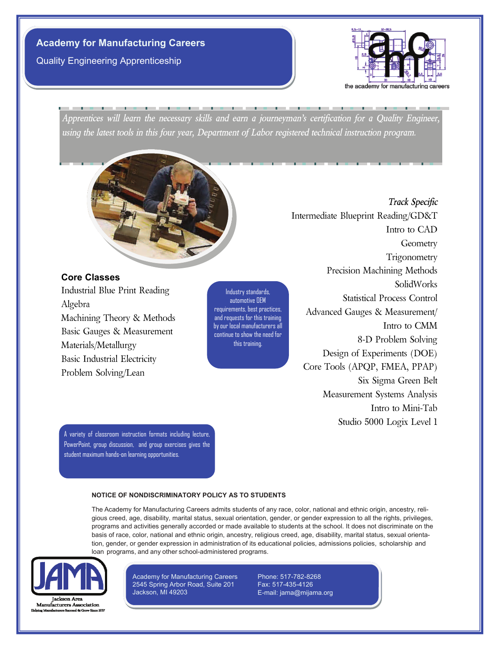Quality Engineering Apprenticeship



*Apprentices will learn the necessary skills and earn a journeyman's certification for a Quality Engineer, using the latest tools in this four year, Department of Labor registered technical instruction program.*



**Core Classes** 

Industrial Blue Print Reading Algebra Machining Theory & Methods Basic Gauges & Measurement Materials/Metallurgy Basic Industrial Electricity Problem Solving/Lean

Industry standards, automotive OEM requirements, best practices, and requests for this training by our local manufacturers all continue to show the need for this training.

*Track Specific* Intermediate Blueprint Reading/GD&T Intro to CAD Geometry **Trigonometry** Precision Machining Methods SolidWorks Statistical Process Control Advanced Gauges & Measurement/ Intro to CMM 8-D Problem Solving Design of Experiments (DOE) Core Tools (APQP, FMEA, PPAP) Six Sigma Green Belt Measurement Systems Analysis Intro to Mini-Tab Studio 5000 Logix Level 1

A variety of classroom instruction formats including lecture, PowerPoint, group discussion, and group exercises gives the student maximum hands-on learning opportunities.

### **NOTICE OF NONDISCRIMINATORY POLICY AS TO STUDENTS**

The Academy for Manufacturing Careers admits students of any race, color, national and ethnic origin, ancestry, religious creed, age, disability, marital status, sexual orientation, gender, or gender expression to all the rights, privileges, programs and activities generally accorded or made available to students at the school. It does not discriminate on the basis of race, color, national and ethnic origin, ancestry, religious creed, age, disability, marital status, sexual orientation, gender, or gender expression in administration of its educational policies, admissions policies, scholarship and loan programs, and any other school-administered programs.



**Manufacturers Association** 

Academy for Manufacturing Careers 2545 Spring Arbor Road, Suite 201 Jackson, MI 49203

Phone: 517-782-8268 Fax: 517-435-4126 E-mail: jama@mijama.org